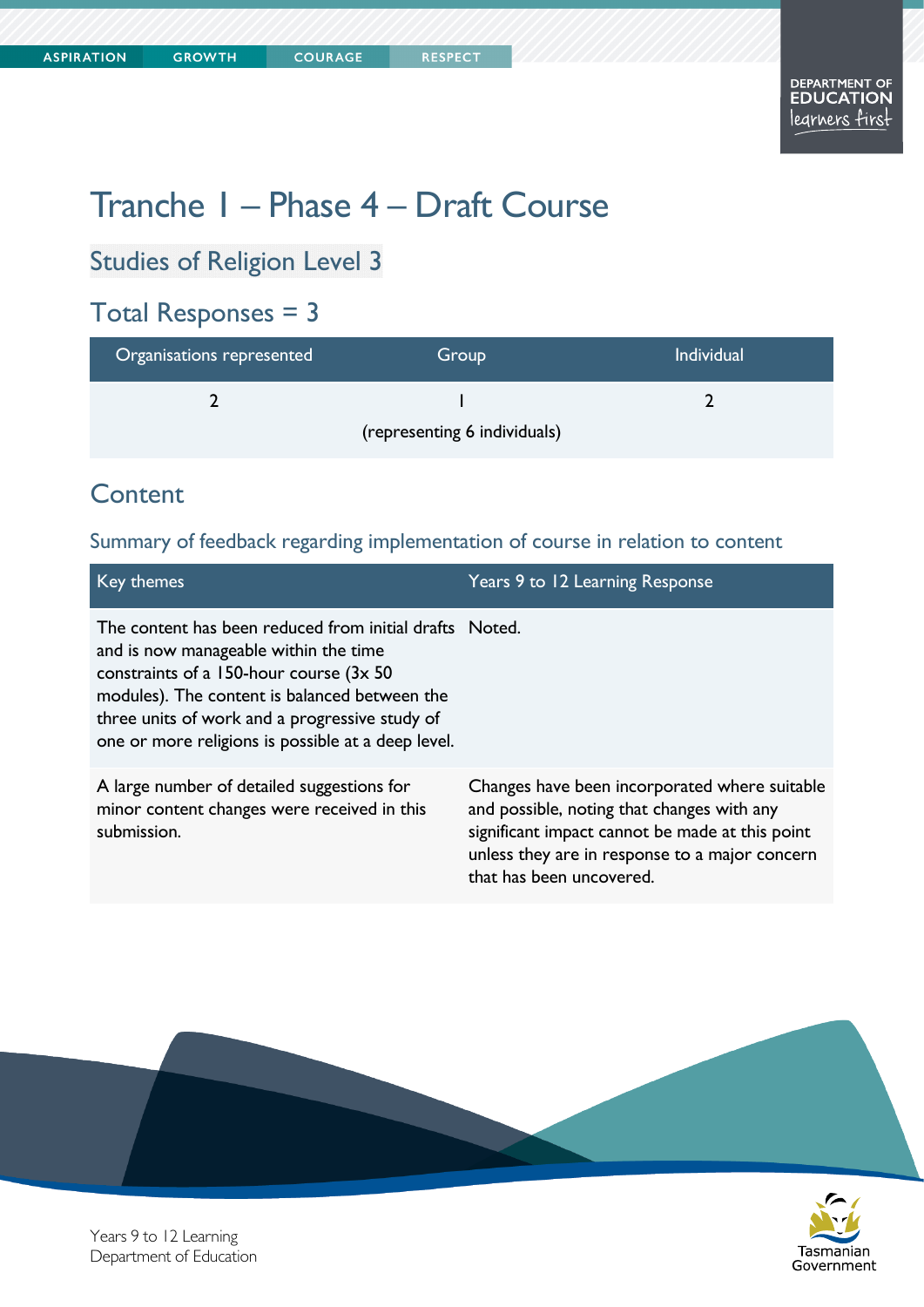# Tranche 1 – Phase 4 – Draft Course

**COURAGE** 

## Studies of Religion Level 3

## Total Responses = 3

| Organisations represented    | Group | <b>Individual</b> |
|------------------------------|-------|-------------------|
|                              |       |                   |
| (representing 6 individuals) |       |                   |

## **Content**

## Summary of feedback regarding implementation of course in relation to content

| Key themes                                                                                                                                                                                                                                                                                            | Years 9 to 12 Learning Response                                                                                                                                                                  |
|-------------------------------------------------------------------------------------------------------------------------------------------------------------------------------------------------------------------------------------------------------------------------------------------------------|--------------------------------------------------------------------------------------------------------------------------------------------------------------------------------------------------|
| The content has been reduced from initial drafts Noted.<br>and is now manageable within the time<br>constraints of a 150-hour course (3x 50)<br>modules). The content is balanced between the<br>three units of work and a progressive study of<br>one or more religions is possible at a deep level. |                                                                                                                                                                                                  |
| A large number of detailed suggestions for<br>minor content changes were received in this<br>submission.                                                                                                                                                                                              | Changes have been incorporated where suitable<br>and possible, noting that changes with any<br>significant impact cannot be made at this point<br>unless they are in response to a major concern |

that has been uncovered.





Years 9 to 12 Learning Department of Education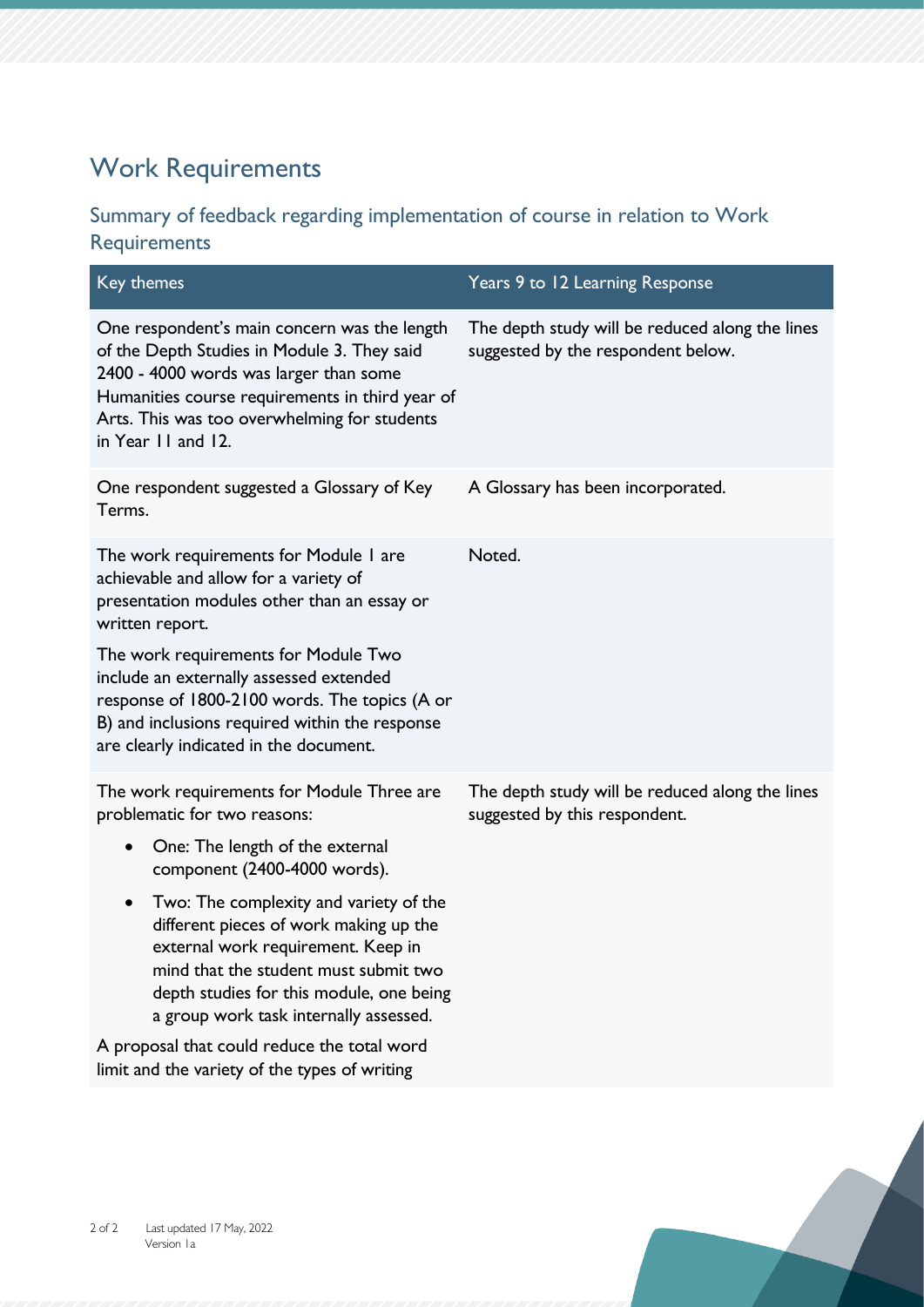# Work Requirements

## Summary of feedback regarding implementation of course in relation to Work Requirements

| Key themes                                                                                                                                                                                                                                                         | Years 9 to 12 Learning Response                                                       |
|--------------------------------------------------------------------------------------------------------------------------------------------------------------------------------------------------------------------------------------------------------------------|---------------------------------------------------------------------------------------|
| One respondent's main concern was the length<br>of the Depth Studies in Module 3. They said<br>2400 - 4000 words was larger than some<br>Humanities course requirements in third year of<br>Arts. This was too overwhelming for students<br>in Year 11 and 12.     | The depth study will be reduced along the lines<br>suggested by the respondent below. |
| One respondent suggested a Glossary of Key<br>Terms.                                                                                                                                                                                                               | A Glossary has been incorporated.                                                     |
| The work requirements for Module I are<br>achievable and allow for a variety of<br>presentation modules other than an essay or<br>written report.                                                                                                                  | Noted.                                                                                |
| The work requirements for Module Two<br>include an externally assessed extended<br>response of 1800-2100 words. The topics (A or<br>B) and inclusions required within the response<br>are clearly indicated in the document.                                       |                                                                                       |
| The work requirements for Module Three are<br>problematic for two reasons:                                                                                                                                                                                         | The depth study will be reduced along the lines<br>suggested by this respondent.      |
| One: The length of the external<br>$\bullet$<br>component (2400-4000 words).                                                                                                                                                                                       |                                                                                       |
| Two: The complexity and variety of the<br>$\bullet$<br>different pieces of work making up the<br>external work requirement. Keep in<br>mind that the student must submit two<br>depth studies for this module, one being<br>a group work task internally assessed. |                                                                                       |
| A proposal that could reduce the total word<br>limit and the variety of the types of writing                                                                                                                                                                       |                                                                                       |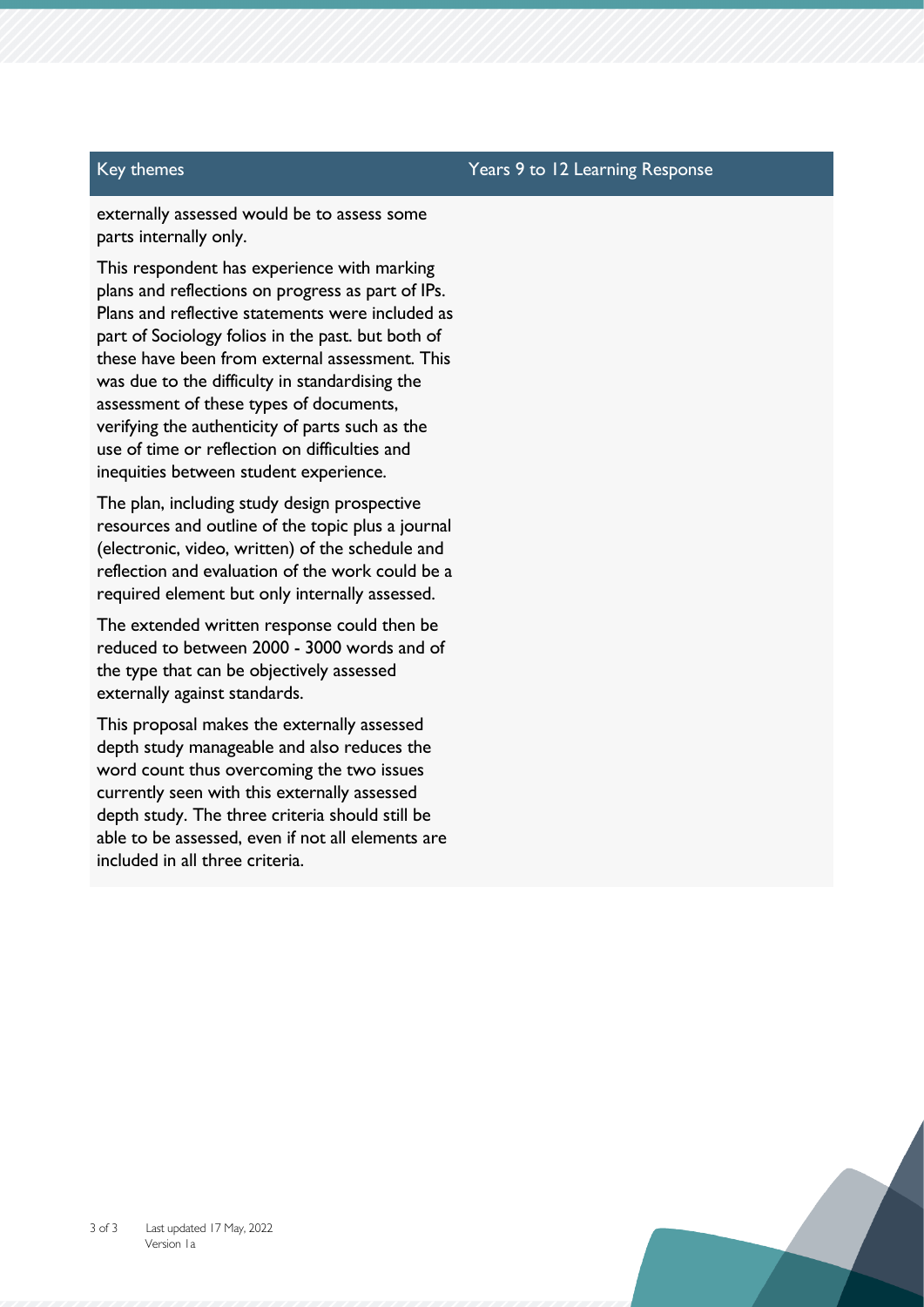### Key themes Years 9 to 12 Learning Response

externally assessed would be to assess some parts internally only.

This respondent has experience with marking plans and reflections on progress as part of IPs. Plans and reflective statements were included as part of Sociology folios in the past. but both of these have been from external assessment. This was due to the difficulty in standardising the assessment of these types of documents, verifying the authenticity of parts such as the use of time or reflection on difficulties and inequities between student experience.

The plan, including study design prospective resources and outline of the topic plus a journal (electronic, video, written) of the schedule and reflection and evaluation of the work could be a required element but only internally assessed.

The extended written response could then be reduced to between 2000 - 3000 words and of the type that can be objectively assessed externally against standards.

This proposal makes the externally assessed depth study manageable and also reduces the word count thus overcoming the two issues currently seen with this externally assessed depth study. The three criteria should still be able to be assessed, even if not all elements are included in all three criteria.

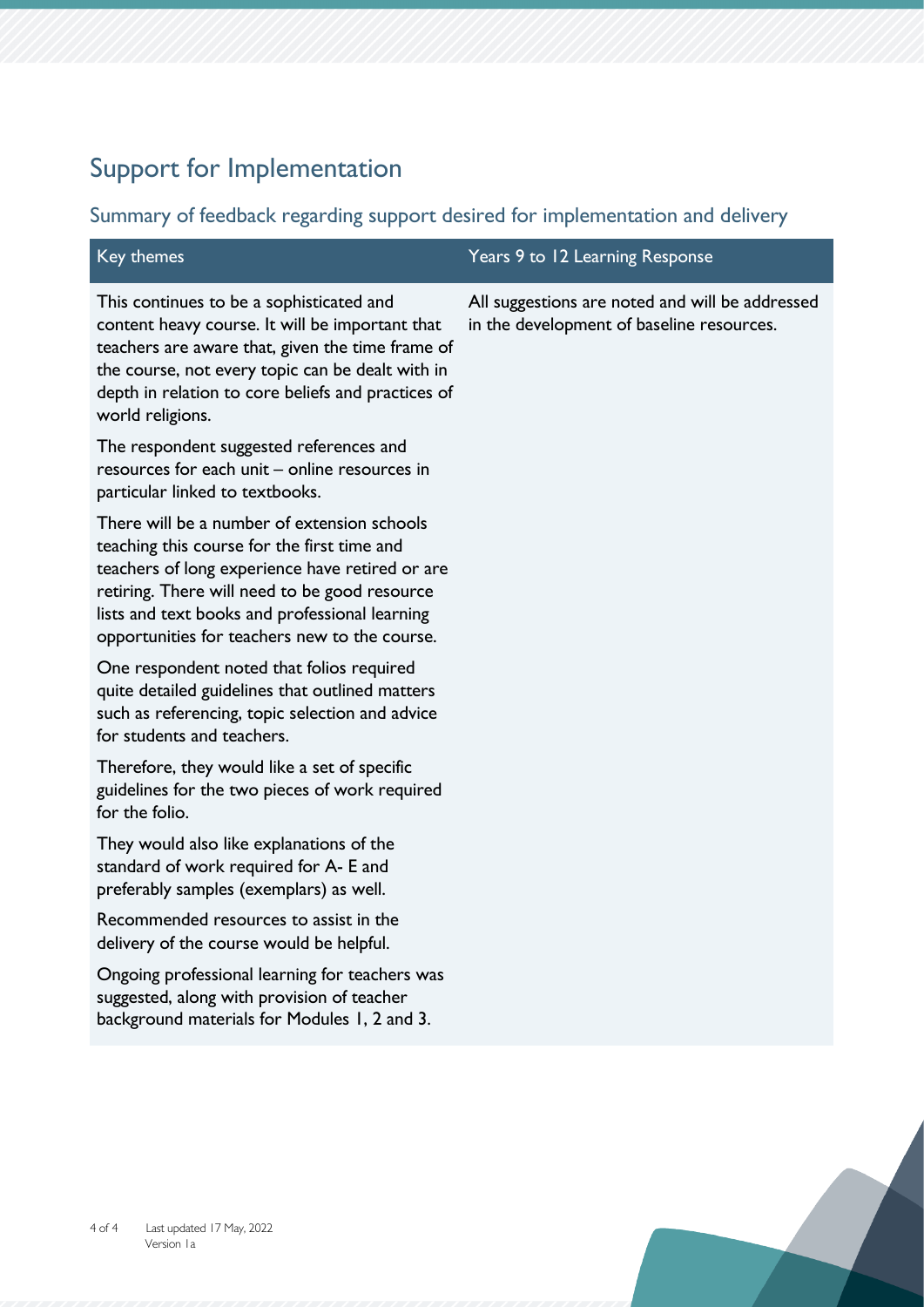## Support for Implementation

### Summary of feedback regarding support desired for implementation and delivery

This continues to be a sophisticated and content heavy course. It will be important that teachers are aware that, given the time frame of the course, not every topic can be dealt with in depth in relation to core beliefs and practices of world religions.

The respondent suggested references and resources for each unit – online resources in particular linked to textbooks.

There will be a number of extension schools teaching this course for the first time and teachers of long experience have retired or are retiring. There will need to be good resource lists and text books and professional learning opportunities for teachers new to the course.

One respondent noted that folios required quite detailed guidelines that outlined matters such as referencing, topic selection and advice for students and teachers.

Therefore, they would like a set of specific guidelines for the two pieces of work required for the folio.

They would also like explanations of the standard of work required for A- E and preferably samples (exemplars) as well.

Recommended resources to assist in the delivery of the course would be helpful.

Ongoing professional learning for teachers was suggested, along with provision of teacher background materials for Modules 1, 2 and 3.

### Key themes Years 9 to 12 Learning Response

All suggestions are noted and will be addressed in the development of baseline resources.